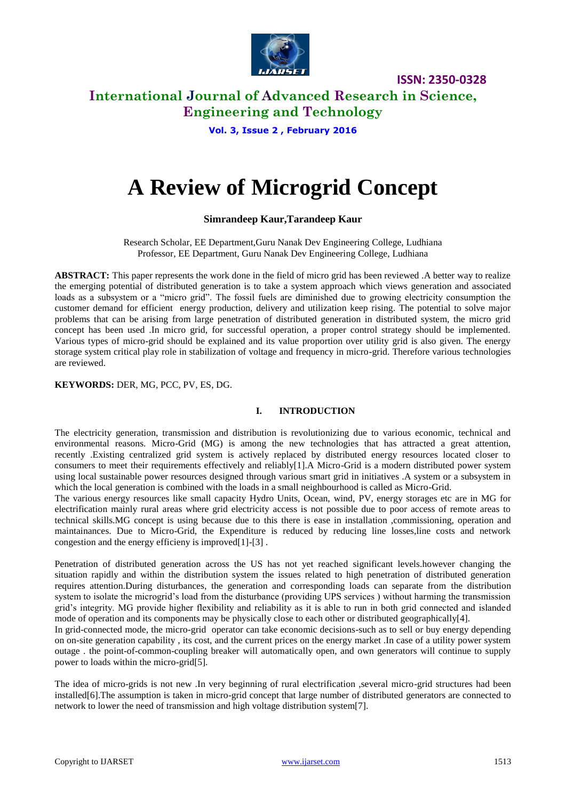

### **International Journal of Advanced Research in Science, Engineering and Technology**

**Vol. 3, Issue 2 , February 2016**

# **A Review of Microgrid Concept**

### **Simrandeep Kaur,Tarandeep Kaur**

Research Scholar, EE Department,Guru Nanak Dev Engineering College, Ludhiana Professor, EE Department, Guru Nanak Dev Engineering College, Ludhiana

**ABSTRACT:** This paper represents the work done in the field of micro grid has been reviewed .A better way to realize the emerging potential of distributed generation is to take a system approach which views generation and associated loads as a subsystem or a "micro grid". The fossil fuels are diminished due to growing electricity consumption the customer demand for efficient energy production, delivery and utilization keep rising. The potential to solve major problems that can be arising from large penetration of distributed generation in distributed system, the micro grid concept has been used .In micro grid, for successful operation, a proper control strategy should be implemented. Various types of micro-grid should be explained and its value proportion over utility grid is also given. The energy storage system critical play role in stabilization of voltage and frequency in micro-grid. Therefore various technologies are reviewed.

### **KEYWORDS:** DER, MG, PCC, PV, ES, DG.

### **I. INTRODUCTION**

The electricity generation, transmission and distribution is revolutionizing due to various economic, technical and environmental reasons. Micro-Grid (MG) is among the new technologies that has attracted a great attention, recently .Existing centralized grid system is actively replaced by distributed energy resources located closer to consumers to meet their requirements effectively and reliably[1].A Micro-Grid is a modern distributed power system using local sustainable power resources designed through various smart grid in initiatives .A system or a subsystem in which the local generation is combined with the loads in a small neighbourhood is called as Micro-Grid.

The various energy resources like small capacity Hydro Units, Ocean, wind, PV, energy storages etc are in MG for electrification mainly rural areas where grid electricity access is not possible due to poor access of remote areas to technical skills.MG concept is using because due to this there is ease in installation ,commissioning, operation and maintainances. Due to Micro-Grid, the Expenditure is reduced by reducing line losses,line costs and network congestion and the energy efficieny is improved[1]-[3] .

Penetration of distributed generation across the US has not yet reached significant levels.however changing the situation rapidly and within the distribution system the issues related to high penetration of distributed generation requires attention.During disturbances, the generation and corresponding loads can separate from the distribution system to isolate the microgrid's load from the disturbance (providing UPS services) without harming the transmission grid's integrity. MG provide higher flexibility and reliability as it is able to run in both grid connected and islanded mode of operation and its components may be physically close to each other or distributed geographically[4].

In grid-connected mode, the micro-grid operator can take economic decisions-such as to sell or buy energy depending on on-site generation capability , its cost, and the current prices on the energy market .In case of a utility power system outage . the point-of-common-coupling breaker will automatically open, and own generators will continue to supply power to loads within the micro-grid[5].

The idea of micro-grids is not new .In very beginning of rural electrification ,several micro-grid structures had been installed[6].The assumption is taken in micro-grid concept that large number of distributed generators are connected to network to lower the need of transmission and high voltage distribution system[7].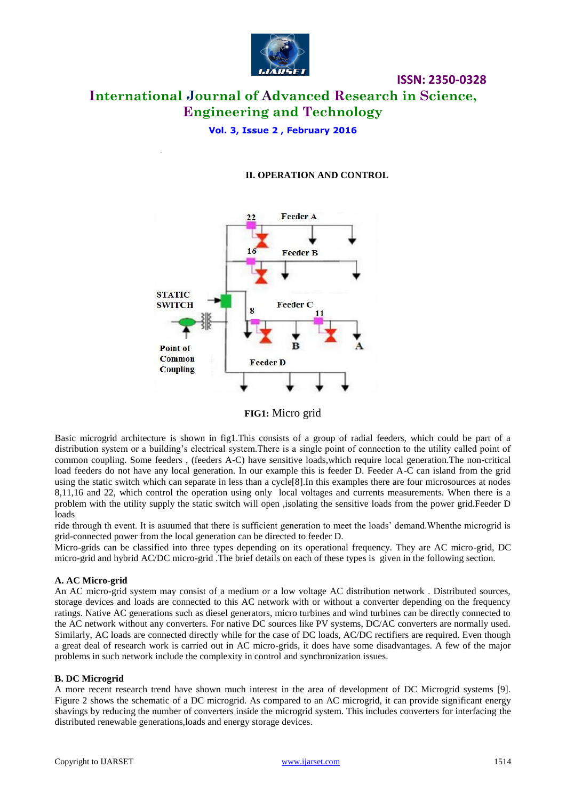

# **International Journal of Advanced Research in Science, Engineering and Technology**

**Vol. 3, Issue 2 , February 2016**

### **II. OPERATION AND CONTROL**

**ISSN: 2350-0328**



**FIG1:** Micro grid

Basic microgrid architecture is shown in fig1.This consists of a group of radial feeders, which could be part of a distribution system or a building's electrical system.There is a single point of connection to the utility called point of common coupling. Some feeders , (feeders A-C) have sensitive loads,which require local generation.The non-critical load feeders do not have any local generation. In our example this is feeder D. Feeder A-C can island from the grid using the static switch which can separate in less than a cycle[8].In this examples there are four microsources at nodes 8,11,16 and 22, which control the operation using only local voltages and currents measurements. When there is a problem with the utility supply the static switch will open ,isolating the sensitive loads from the power grid.Feeder D loads

ride through th event. It is asuumed that there is sufficient generation to meet the loads' demand.Whenthe microgrid is grid-connected power from the local generation can be directed to feeder D.

Micro-grids can be classified into three types depending on its operational frequency. They are AC micro-grid, DC micro-grid and hybrid AC/DC micro-grid .The brief details on each of these types is given in the following section.

### **A. AC Micro-grid**

An AC micro-grid system may consist of a medium or a low voltage AC distribution network . Distributed sources, storage devices and loads are connected to this AC network with or without a converter depending on the frequency ratings. Native AC generations such as diesel generators, micro turbines and wind turbines can be directly connected to the AC network without any converters. For native DC sources like PV systems, DC/AC converters are normally used. Similarly, AC loads are connected directly while for the case of DC loads, AC/DC rectifiers are required. Even though a great deal of research work is carried out in AC micro-grids, it does have some disadvantages. A few of the major problems in such network include the complexity in control and synchronization issues.

### **B. DC Microgrid**

A more recent research trend have shown much interest in the area of development of DC Microgrid systems [9]. Figure 2 shows the schematic of a DC microgrid. As compared to an AC microgrid, it can provide significant energy shavings by reducing the number of converters inside the microgrid system. This includes converters for interfacing the distributed renewable generations,loads and energy storage devices.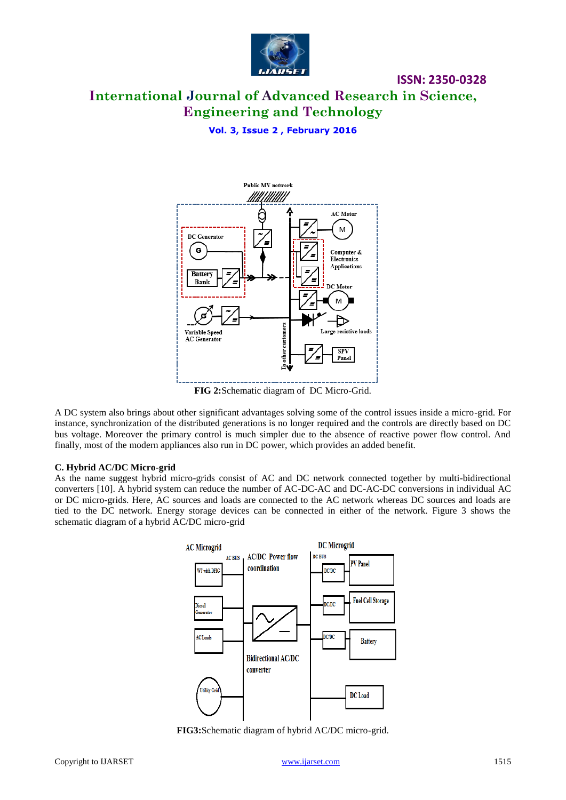

## **International Journal of Advanced Research in Science, Engineering and Technology**

**ISSN: 2350-0328**

**Vol. 3, Issue 2 , February 2016**



**FIG 2:**Schematic diagram of DC Micro-Grid.

A DC system also brings about other significant advantages solving some of the control issues inside a micro-grid. For instance, synchronization of the distributed generations is no longer required and the controls are directly based on DC bus voltage. Moreover the primary control is much simpler due to the absence of reactive power flow control. And finally, most of the modern appliances also run in DC power, which provides an added benefit.

### **C. Hybrid AC/DC Micro-grid**

As the name suggest hybrid micro-grids consist of AC and DC network connected together by multi-bidirectional converters [10]. A hybrid system can reduce the number of AC-DC-AC and DC-AC-DC conversions in individual AC or DC micro-grids. Here, AC sources and loads are connected to the AC network whereas DC sources and loads are tied to the DC network. Energy storage devices can be connected in either of the network. Figure 3 shows the schematic diagram of a hybrid AC/DC micro-grid



**FIG3:**Schematic diagram of hybrid AC/DC micro-grid.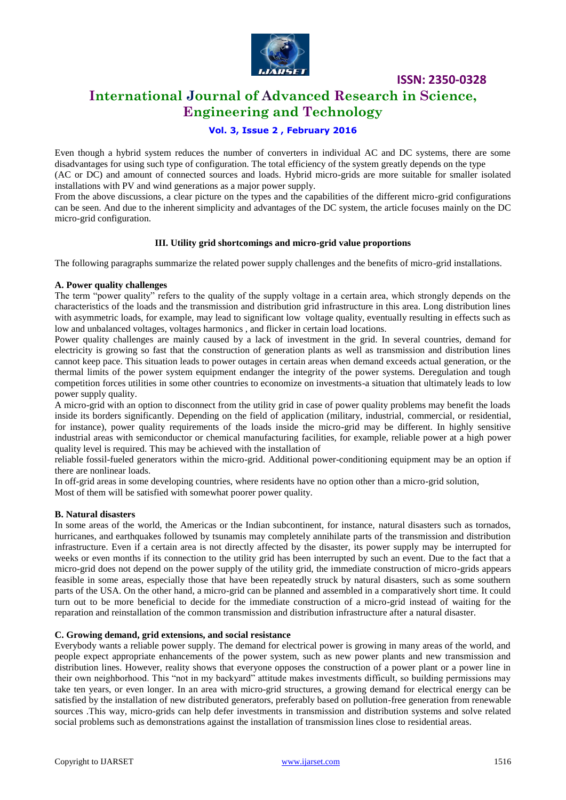

### **International Journal of Advanced Research in Science, Engineering and Technology**

### **Vol. 3, Issue 2 , February 2016**

Even though a hybrid system reduces the number of converters in individual AC and DC systems, there are some disadvantages for using such type of configuration. The total efficiency of the system greatly depends on the type (AC or DC) and amount of connected sources and loads. Hybrid micro-grids are more suitable for smaller isolated installations with PV and wind generations as a major power supply.

From the above discussions, a clear picture on the types and the capabilities of the different micro-grid configurations can be seen. And due to the inherent simplicity and advantages of the DC system, the article focuses mainly on the DC micro-grid configuration.

### **III. Utility grid shortcomings and micro-grid value proportions**

The following paragraphs summarize the related power supply challenges and the benefits of micro-grid installations.

### **A. Power quality challenges**

The term "power quality" refers to the quality of the supply voltage in a certain area, which strongly depends on the characteristics of the loads and the transmission and distribution grid infrastructure in this area. Long distribution lines with asymmetric loads, for example, may lead to significant low voltage quality, eventually resulting in effects such as low and unbalanced voltages, voltages harmonics , and flicker in certain load locations.

Power quality challenges are mainly caused by a lack of investment in the grid. In several countries, demand for electricity is growing so fast that the construction of generation plants as well as transmission and distribution lines cannot keep pace. This situation leads to power outages in certain areas when demand exceeds actual generation, or the thermal limits of the power system equipment endanger the integrity of the power systems. Deregulation and tough competition forces utilities in some other countries to economize on investments-a situation that ultimately leads to low power supply quality.

A micro-grid with an option to disconnect from the utility grid in case of power quality problems may benefit the loads inside its borders significantly. Depending on the field of application (military, industrial, commercial, or residential, for instance), power quality requirements of the loads inside the micro-grid may be different. In highly sensitive industrial areas with semiconductor or chemical manufacturing facilities, for example, reliable power at a high power quality level is required. This may be achieved with the installation of

reliable fossil-fueled generators within the micro-grid. Additional power-conditioning equipment may be an option if there are nonlinear loads.

In off-grid areas in some developing countries, where residents have no option other than a micro-grid solution, Most of them will be satisfied with somewhat poorer power quality.

### **B. Natural disasters**

In some areas of the world, the Americas or the Indian subcontinent, for instance, natural disasters such as tornados, hurricanes, and earthquakes followed by tsunamis may completely annihilate parts of the transmission and distribution infrastructure. Even if a certain area is not directly affected by the disaster, its power supply may be interrupted for weeks or even months if its connection to the utility grid has been interrupted by such an event. Due to the fact that a micro-grid does not depend on the power supply of the utility grid, the immediate construction of micro-grids appears feasible in some areas, especially those that have been repeatedly struck by natural disasters, such as some southern parts of the USA. On the other hand, a micro-grid can be planned and assembled in a comparatively short time. It could turn out to be more beneficial to decide for the immediate construction of a micro-grid instead of waiting for the reparation and reinstallation of the common transmission and distribution infrastructure after a natural disaster.

### **C. Growing demand, grid extensions, and social resistance**

Everybody wants a reliable power supply. The demand for electrical power is growing in many areas of the world, and people expect appropriate enhancements of the power system, such as new power plants and new transmission and distribution lines. However, reality shows that everyone opposes the construction of a power plant or a power line in their own neighborhood. This "not in my backyard" attitude makes investments difficult, so building permissions may take ten years, or even longer. In an area with micro-grid structures, a growing demand for electrical energy can be satisfied by the installation of new distributed generators, preferably based on pollution-free generation from renewable sources .This way, micro-grids can help defer investments in transmission and distribution systems and solve related social problems such as demonstrations against the installation of transmission lines close to residential areas.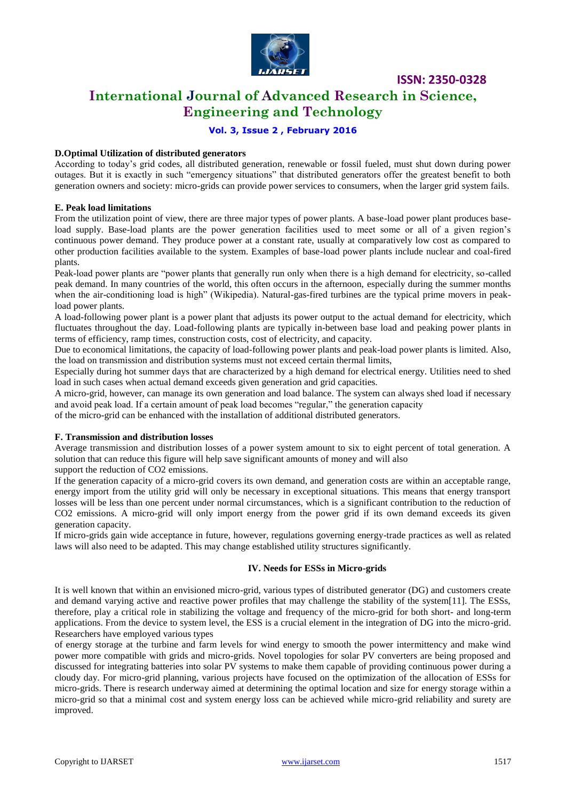

### **International Journal of Advanced Research in Science, Engineering and Technology**

### **Vol. 3, Issue 2 , February 2016**

### **D.Optimal Utilization of distributed generators**

According to today's grid codes, all distributed generation, renewable or fossil fueled, must shut down during power outages. But it is exactly in such "emergency situations" that distributed generators offer the greatest benefit to both generation owners and society: micro-grids can provide power services to consumers, when the larger grid system fails.

#### **E. Peak load limitations**

From the utilization point of view, there are three major types of power plants. A base-load power plant produces baseload supply. Base-load plants are the power generation facilities used to meet some or all of a given region's continuous power demand. They produce power at a constant rate, usually at comparatively low cost as compared to other production facilities available to the system. Examples of base-load power plants include nuclear and coal-fired plants.

Peak-load power plants are "power plants that generally run only when there is a high demand for electricity, so-called peak demand. In many countries of the world, this often occurs in the afternoon, especially during the summer months when the air-conditioning load is high" (Wikipedia). Natural-gas-fired turbines are the typical prime movers in peakload power plants.

A load-following power plant is a power plant that adjusts its power output to the actual demand for electricity, which fluctuates throughout the day. Load-following plants are typically in-between base load and peaking power plants in terms of efficiency, ramp times, construction costs, cost of electricity, and capacity.

Due to economical limitations, the capacity of load-following power plants and peak-load power plants is limited. Also, the load on transmission and distribution systems must not exceed certain thermal limits,

Especially during hot summer days that are characterized by a high demand for electrical energy. Utilities need to shed load in such cases when actual demand exceeds given generation and grid capacities.

A micro-grid, however, can manage its own generation and load balance. The system can always shed load if necessary and avoid peak load. If a certain amount of peak load becomes "regular," the generation capacity

of the micro-grid can be enhanced with the installation of additional distributed generators.

#### **F. Transmission and distribution losses**

Average transmission and distribution losses of a power system amount to six to eight percent of total generation. A solution that can reduce this figure will help save significant amounts of money and will also

support the reduction of CO2 emissions.

If the generation capacity of a micro-grid covers its own demand, and generation costs are within an acceptable range, energy import from the utility grid will only be necessary in exceptional situations. This means that energy transport losses will be less than one percent under normal circumstances, which is a significant contribution to the reduction of CO2 emissions. A micro-grid will only import energy from the power grid if its own demand exceeds its given generation capacity.

If micro-grids gain wide acceptance in future, however, regulations governing energy-trade practices as well as related laws will also need to be adapted. This may change established utility structures significantly.

### **IV. Needs for ESSs in Micro-grids**

It is well known that within an envisioned micro-grid, various types of distributed generator (DG) and customers create and demand varying active and reactive power profiles that may challenge the stability of the system[11]. The ESSs, therefore, play a critical role in stabilizing the voltage and frequency of the micro-grid for both short- and long-term applications. From the device to system level, the ESS is a crucial element in the integration of DG into the micro-grid. Researchers have employed various types

of energy storage at the turbine and farm levels for wind energy to smooth the power intermittency and make wind power more compatible with grids and micro-grids. Novel topologies for solar PV converters are being proposed and discussed for integrating batteries into solar PV systems to make them capable of providing continuous power during a cloudy day. For micro-grid planning, various projects have focused on the optimization of the allocation of ESSs for micro-grids. There is research underway aimed at determining the optimal location and size for energy storage within a micro-grid so that a minimal cost and system energy loss can be achieved while micro-grid reliability and surety are improved.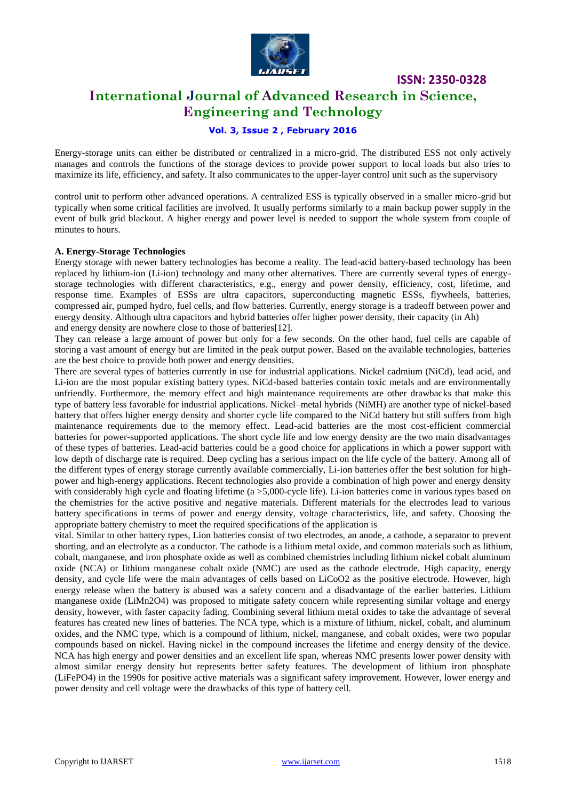

### **International Journal of Advanced Research in Science, Engineering and Technology**

### **Vol. 3, Issue 2 , February 2016**

Energy-storage units can either be distributed or centralized in a micro-grid. The distributed ESS not only actively manages and controls the functions of the storage devices to provide power support to local loads but also tries to maximize its life, efficiency, and safety. It also communicates to the upper-layer control unit such as the supervisory

control unit to perform other advanced operations. A centralized ESS is typically observed in a smaller micro-grid but typically when some critical facilities are involved. It usually performs similarly to a main backup power supply in the event of bulk grid blackout. A higher energy and power level is needed to support the whole system from couple of minutes to hours.

### **A. Energy-Storage Technologies**

Energy storage with newer battery technologies has become a reality. The lead-acid battery-based technology has been replaced by lithium-ion (Li-ion) technology and many other alternatives. There are currently several types of energystorage technologies with different characteristics, e.g., energy and power density, efficiency, cost, lifetime, and response time. Examples of ESSs are ultra capacitors, superconducting magnetic ESSs, flywheels, batteries, compressed air, pumped hydro, fuel cells, and flow batteries. Currently, energy storage is a tradeoff between power and energy density. Although ultra capacitors and hybrid batteries offer higher power density, their capacity (in Ah) and energy density are nowhere close to those of batteries[12].

They can release a large amount of power but only for a few seconds. On the other hand, fuel cells are capable of storing a vast amount of energy but are limited in the peak output power. Based on the available technologies, batteries are the best choice to provide both power and energy densities.

There are several types of batteries currently in use for industrial applications. Nickel cadmium (NiCd), lead acid, and Li-ion are the most popular existing battery types. NiCd-based batteries contain toxic metals and are environmentally unfriendly. Furthermore, the memory effect and high maintenance requirements are other drawbacks that make this type of battery less favorable for industrial applications. Nickel–metal hybrids (NiMH) are another type of nickel-based battery that offers higher energy density and shorter cycle life compared to the NiCd battery but still suffers from high maintenance requirements due to the memory effect. Lead-acid batteries are the most cost-efficient commercial batteries for power-supported applications. The short cycle life and low energy density are the two main disadvantages of these types of batteries. Lead-acid batteries could be a good choice for applications in which a power support with low depth of discharge rate is required. Deep cycling has a serious impact on the life cycle of the battery. Among all of the different types of energy storage currently available commercially, Li-ion batteries offer the best solution for highpower and high-energy applications. Recent technologies also provide a combination of high power and energy density with considerably high cycle and floating lifetime (a > 5,000-cycle life). Li-ion batteries come in various types based on the chemistries for the active positive and negative materials. Different materials for the electrodes lead to various battery specifications in terms of power and energy density, voltage characteristics, life, and safety. Choosing the appropriate battery chemistry to meet the required specifications of the application is

vital. Similar to other battery types, Lion batteries consist of two electrodes, an anode, a cathode, a separator to prevent shorting, and an electrolyte as a conductor. The cathode is a lithium metal oxide, and common materials such as lithium, cobalt, manganese, and iron phosphate oxide as well as combined chemistries including lithium nickel cobalt aluminum oxide (NCA) or lithium manganese cobalt oxide (NMC) are used as the cathode electrode. High capacity, energy density, and cycle life were the main advantages of cells based on LiCoO2 as the positive electrode. However, high energy release when the battery is abused was a safety concern and a disadvantage of the earlier batteries. Lithium manganese oxide (LiMn2O4) was proposed to mitigate safety concern while representing similar voltage and energy density, however, with faster capacity fading. Combining several lithium metal oxides to take the advantage of several features has created new lines of batteries. The NCA type, which is a mixture of lithium, nickel, cobalt, and aluminum oxides, and the NMC type, which is a compound of lithium, nickel, manganese, and cobalt oxides, were two popular compounds based on nickel. Having nickel in the compound increases the lifetime and energy density of the device. NCA has high energy and power densities and an excellent life span, whereas NMC presents lower power density with almost similar energy density but represents better safety features. The development of lithium iron phosphate (LiFePO4) in the 1990s for positive active materials was a significant safety improvement. However, lower energy and power density and cell voltage were the drawbacks of this type of battery cell.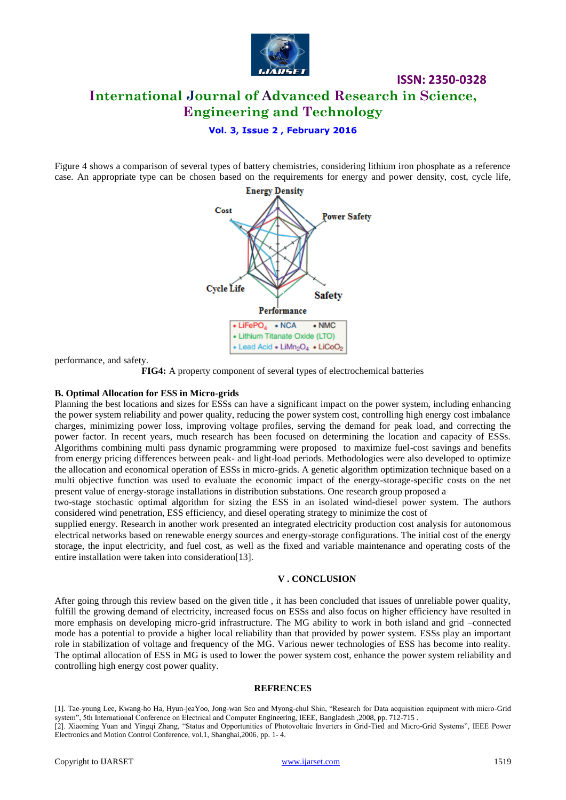

### **ISSN: 2350-0328 International Journal of Advanced Research in Science, Engineering and Technology**

**Vol. 3, Issue 2 , February 2016**

Figure 4 shows a comparison of several types of battery chemistries, considering lithium iron phosphate as a reference case. An appropriate type can be chosen based on the requirements for energy and power density, cost, cycle life,



performance, and safety.

**FIG4:** A property component of several types of electrochemical batteries

#### **B. Optimal Allocation for ESS in Micro-grids**

Planning the best locations and sizes for ESSs can have a significant impact on the power system, including enhancing the power system reliability and power quality, reducing the power system cost, controlling high energy cost imbalance charges, minimizing power loss, improving voltage profiles, serving the demand for peak load, and correcting the power factor. In recent years, much research has been focused on determining the location and capacity of ESSs. Algorithms combining multi pass dynamic programming were proposed to maximize fuel-cost savings and benefits from energy pricing differences between peak- and light-load periods. Methodologies were also developed to optimize the allocation and economical operation of ESSs in micro-grids. A genetic algorithm optimization technique based on a multi objective function was used to evaluate the economic impact of the energy-storage-specific costs on the net present value of energy-storage installations in distribution substations. One research group proposed a

two-stage stochastic optimal algorithm for sizing the ESS in an isolated wind-diesel power system. The authors considered wind penetration, ESS efficiency, and diesel operating strategy to minimize the cost of

supplied energy. Research in another work presented an integrated electricity production cost analysis for autonomous electrical networks based on renewable energy sources and energy-storage configurations. The initial cost of the energy storage, the input electricity, and fuel cost, as well as the fixed and variable maintenance and operating costs of the entire installation were taken into consideration[13].

### **V . CONCLUSION**

After going through this review based on the given title , it has been concluded that issues of unreliable power quality, fulfill the growing demand of electricity, increased focus on ESSs and also focus on higher efficiency have resulted in more emphasis on developing micro-grid infrastructure. The MG ability to work in both island and grid –connected mode has a potential to provide a higher local reliability than that provided by power system. ESSs play an important role in stabilization of voltage and frequency of the MG. Various newer technologies of ESS has become into reality. The optimal allocation of ESS in MG is used to lower the power system cost, enhance the power system reliability and controlling high energy cost power quality.

#### **REFRENCES**

[1]. Tae-young Lee, Kwang-ho Ha, Hyun-jeaYoo, Jong-wan Seo and Myong-chul Shin, "Research for Data acquisition equipment with micro-Grid system", 5th International Conference on Electrical and Computer Engineering, IEEE, Bangladesh ,2008, pp. 712-715 . [2]. Xiaoming Yuan and Yingqi Zhang, "Status and Opportunities of Photovoltaic Inverters in Grid-Tied and Micro-Grid Systems", IEEE Power

Electronics and Motion Control Conference, vol.1, Shanghai,2006, pp. 1- 4.